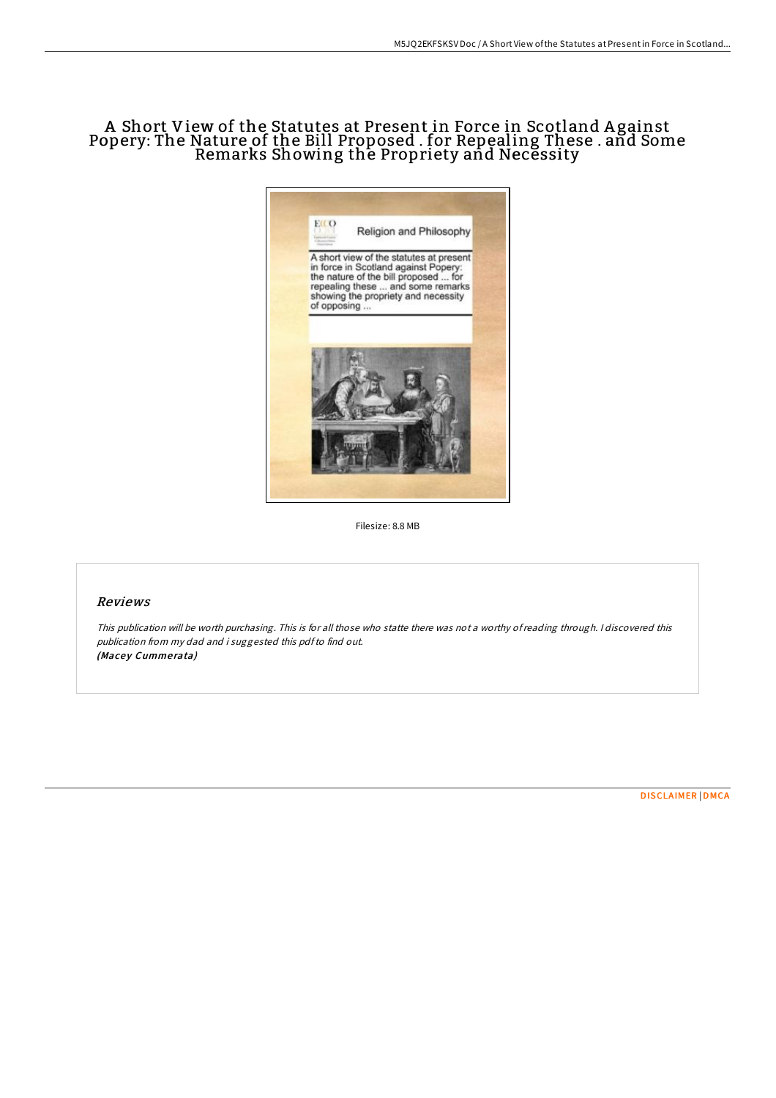## A Short View of the Statutes at Present in Force in Scotland A gainst Popery: The Nature of the Bill Proposed . for Repealing These . and Some Remarks Showing the Propriety and Necessity



Filesize: 8.8 MB

## Reviews

This publication will be worth purchasing. This is for all those who statte there was not <sup>a</sup> worthy ofreading through. <sup>I</sup> discovered this publication from my dad and i suggested this pdfto find out. (Macey Cummerata)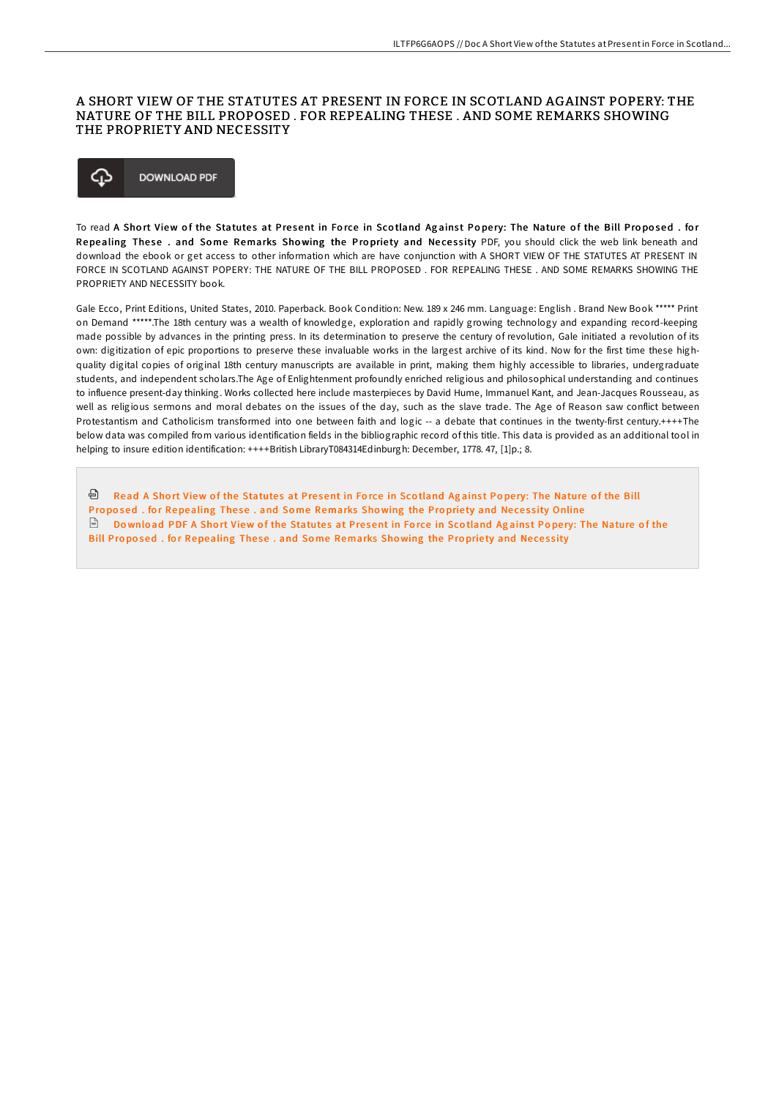## A SHORT VIEW OF THE STATUTES AT PRESENT IN FORCE IN SCOTLAND AGAINST POPERY: THE NATURE OF THE BILL PROPOSED. FOR REPEALING THESE. AND SOME REMARKS SHOWING THE PROPRIETY AND NECESSITY



To read A Short View of the Statutes at Present in Force in Scotland Against Popery: The Nature of the Bill Proposed. for Repealing These. and Some Remarks Showing the Propriety and Necessity PDF, you should click the web link beneath and download the ebook or get access to other information which are have conjunction with A SHORT VIEW OF THE STATUTES AT PRESENT IN FORCE IN SCOTLAND AGAINST POPERY: THE NATURE OF THE BILL PROPOSED. FOR REPEALING THESE. AND SOME REMARKS SHOWING THE PROPRIETY AND NECESSITY book

Gale Ecco, Print Editions, United States, 2010. Paperback. Book Condition: New. 189 x 246 mm. Language: English . Brand New Book \*\*\*\*\* Print on Demand \*\*\*\*\*.The 18th century was a wealth of knowledge, exploration and rapidly growing technology and expanding record-keeping made possible by advances in the printing press. In its determination to preserve the century of revolution, Gale initiated a revolution of its own: digitization of epic proportions to preserve these invaluable works in the largest archive of its kind. Now for the first time these highquality digital copies of original 18th century manuscripts are available in print, making them highly accessible to libraries, undergraduate students, and independent scholars.The Age of Enlightenment profoundly enriched religious and philosophical understanding and continues to influence present-day thinking. Works collected here include masterpieces by David Hume, Immanuel Kant, and Jean-Jacques Rousseau, as well as religious sermons and moral debates on the issues of the day, such as the slave trade. The Age of Reason saw conflict between Protestantism and Catholicism transformed into one between faith and logic -- a debate that continues in the twenty-first century.++++The below data was compiled from various identification fields in the bibliographic record of this title. This data is provided as an additional tool in helping to insure edition identification: ++++British LibraryT084314Edinburgh: December, 1778. 47, [1]p.; 8.

<sup>@</sup> Read A Short View of the Statutes at Present in Force in Scotland Against Popery: The Nature of the Bill Proposed , for Repealing These , and Some Remarks Showing the Propriety and Necessity Online Download PDF A Short View of the Statutes at Present in Force in Scotland Against Popery: The Nature of the Bill Proposed, for Repealing These, and Some Remarks Showing the Propriety and Necessity